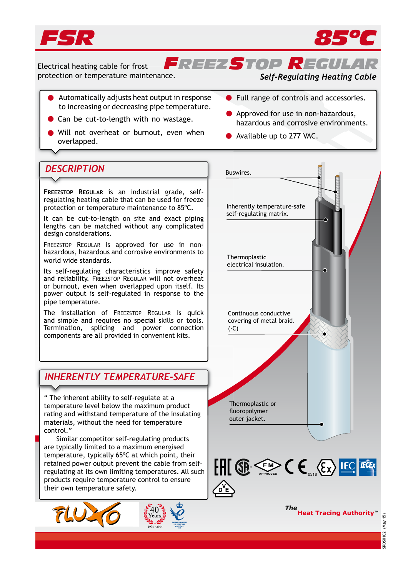



*FREEZSTOP REGULAR* Electrical heating cable for frost protection or temperature maintenance.

### *Self-Regulating Heating Cable*

- Automatically adjusts heat output in response to increasing or decreasing pipe temperature.
- Can be cut-to-length with no wastage.
- Will not overheat or burnout, even when will not overfleat or burnout, even when **the available up to 277 VAC.**<br>overlapped.
- Full range of controls and accessories.
- Approved for use in non-hazardous, hazardous and corrosive environments.
	-

## **DESCRIPTION** Buswires.

**FREEZSTOP REGULAR** is an industrial grade, selfregulating heating cable that can be used for freeze protection or temperature maintenance to 85ºC.

It can be cut-to-length on site and exact piping lengths can be matched without any complicated design considerations.

FREEZSTOP REGULAR is approved for use in nonhazardous, hazardous and corrosive environments to world wide standards.

Its self-regulating characteristics improve safety and reliability. FREEZSTOP REGULAR will not overheat or burnout, even when overlapped upon itself. Its power output is self-regulated in response to the pipe temperature.

The installation of FREEZSTOP REGULAR is quick and simple and requires no special skills or tools. Termination, splicing and power connection components are all provided in convenient kits.

## *INHERENTLY TEMPERATURE-SAFE*

" The inherent ability to self-regulate at a temperature level below the maximum product rating and withstand temperature of the insulating materials, without the need for temperature control."

 Similar competitor self-regulating products are typically limited to a maximum energised temperature, typically 65ºC at which point, their retained power output prevent the cable from selfregulating at its own limiting temperatures. All such products require temperature control to ensure their own temperature safety.





SRDS0102 (May 15)

RDS0102

(May 15)